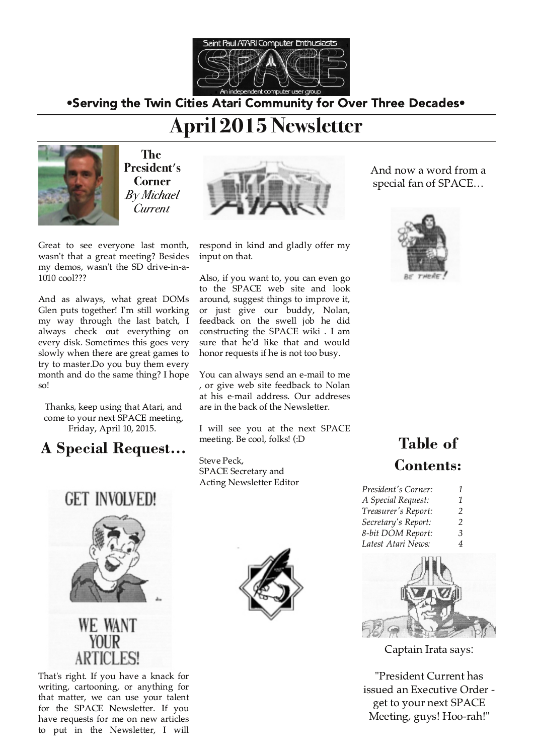

•Serving the Twin Cities Atari Community for Over Three Decades•

# **April 2015 Newsletter**



**The** President's **Corner By Michael** Current



Great to see everyone last month, wasn't that a great meeting? Besides my demos, wasn't the SD drive-in-a-1010 cool???

And as always, what great DOMs Glen puts together! I'm still working my way through the last batch, I always check out everything on every disk. Sometimes this goes very slowly when there are great games to try to master. Do you buy them every month and do the same thing? I hope so!

Thanks, keep using that Atari, and come to your next SPACE meeting, Friday, April 10, 2015.

## **A Special Request...**



That's right. If you have a knack for writing, cartooning, or anything for that matter, we can use your talent for the SPACE Newsletter. If you have requests for me on new articles to put in the Newsletter, I will

**ARTICLES!** 

respond in kind and gladly offer my input on that.

Also, if you want to, you can even go to the SPACE web site and look around, suggest things to improve it, or just give our buddy, Nolan, feedback on the swell job he did constructing the SPACE wiki. I am sure that he'd like that and would honor requests if he is not too busy.

You can always send an e-mail to me , or give web site feedback to Nolan at his e-mail address. Our addreses are in the back of the Newsletter.

I will see you at the next SPACE meeting. Be cool, folks! (:D

Steve Peck, SPACE Secretary and **Acting Newsletter Editor** 



And now a word from a special fan of SPACE...



## **Table of Contents:**

| President's Corner: | 1 |
|---------------------|---|
| A Special Request:  | 1 |
| Treasurer's Report: | 2 |
| Secretary's Report: | 2 |
| 8-bit DOM Report:   | З |
| Latest Atari News:  | 4 |



Captain Irata says:

"President Current has issued an Executive Order get to your next SPACE Meeting, guys! Hoo-rah!"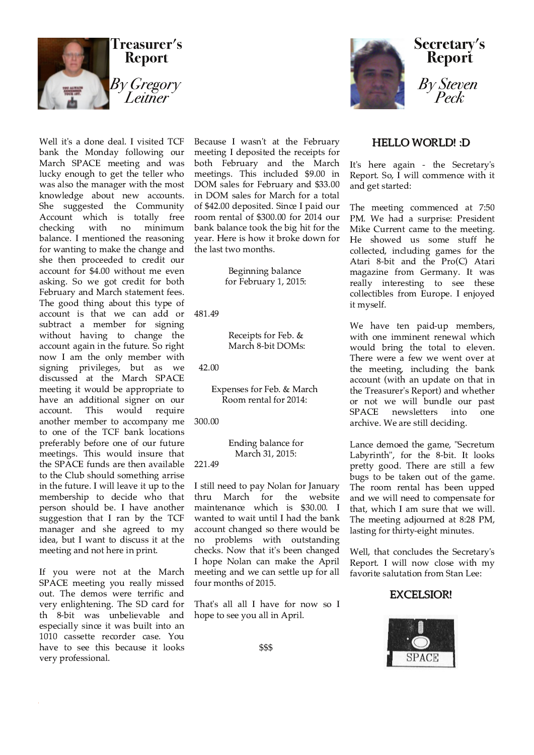

Well it's a done deal. I visited TCF bank the Monday following our March SPACE meeting and was lucky enough to get the teller who was also the manager with the most knowledge about new accounts. She suggested the Community is totally Account which free minimum  $no$ checking with balance. I mentioned the reasoning for wanting to make the change and she then proceeded to credit our account for \$4.00 without me even asking. So we got credit for both February and March statement fees. The good thing about this type of account is that we can add or subtract a member for signing without having to change the account again in the future. So right now I am the only member with signing privileges, but as we discussed at the March SPACE meeting it would be appropriate to have an additional signer on our account. This would require another member to accompany me to one of the TCF bank locations preferably before one of our future meetings. This would insure that the SPACE funds are then available to the Club should something arrise in the future. I will leave it up to the membership to decide who that person should be. I have another suggestion that I ran by the TCF manager and she agreed to my idea, but I want to discuss it at the meeting and not here in print.

If you were not at the March SPACE meeting you really missed out. The demos were terrific and very enlightening. The SD card for th 8-bit was unbelievable and especially since it was built into an 1010 cassette recorder case. You have to see this because it looks very professional.

Because I wasn't at the February meeting I deposited the receipts for both February and the March meetings. This included \$9.00 in DOM sales for February and \$33.00 in DOM sales for March for a total of \$42.00 deposited. Since I paid our room rental of \$300.00 for 2014 our bank balance took the big hit for the year. Here is how it broke down for the last two months.

> Beginning balance for February 1, 2015:

481.49

Receipts for Feb. & March 8-bit DOMs:

42.00

Expenses for Feb. & March Room rental for 2014:

300.00

Ending balance for March 31, 2015:

221.49

I still need to pay Nolan for January thru March for the website maintenance which is \$30.00. I wanted to wait until I had the bank account changed so there would be problems with outstanding no checks. Now that it's been changed I hope Nolan can make the April meeting and we can settle up for all four months of 2015.

That's all all I have for now so I hope to see you all in April.

\$\$\$



## **HELLO WORLD!: D**

It's here again - the Secretary's Report. So, I will commence with it and get started:

The meeting commenced at 7:50 PM. We had a surprise: President Mike Current came to the meeting. He showed us some stuff he collected, including games for the Atari 8-bit and the Pro(C) Atari magazine from Germany. It was really interesting to see these collectibles from Europe. I enjoyed it myself.

We have ten paid-up members, with one imminent renewal which would bring the total to eleven. There were a few we went over at the meeting, including the bank account (with an update on that in the Treasurer's Report) and whether or not we will bundle our past newsletters **SPACE** into one archive. We are still deciding.

Lance demoed the game, "Secretum Labyrinth", for the 8-bit. It looks pretty good. There are still a few bugs to be taken out of the game. The room rental has been upped and we will need to compensate for that, which I am sure that we will. The meeting adjourned at 8:28 PM, lasting for thirty-eight minutes.

Well, that concludes the Secretary's Report. I will now close with my favorite salutation from Stan Lee:

## **EXCELSIOR!**

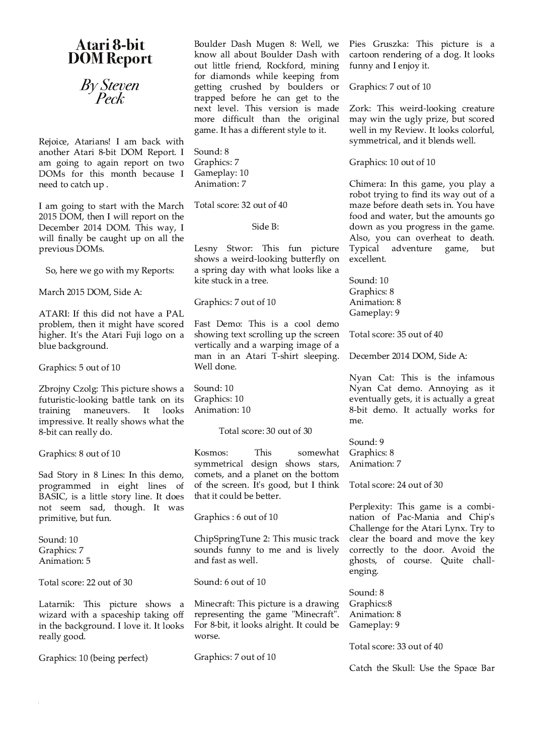

By Steven

Rejoice, Atarians! I am back with another Atari 8-bit DOM Report. I am going to again report on two DOMs for this month because I need to catch up.

I am going to start with the March 2015 DOM, then I will report on the December 2014 DOM. This way, I will finally be caught up on all the previous DOMs.

So, here we go with my Reports:

March 2015 DOM. Side A:

ATARI: If this did not have a PAL problem, then it might have scored higher. It's the Atari Fuji logo on a blue background.

Graphics: 5 out of 10

Zbrojny Czolg: This picture shows a futuristic-looking battle tank on its training maneuvers. It  $-$ looks impressive. It really shows what the 8-bit can really do.

Graphics: 8 out of 10

Sad Story in 8 Lines: In this demo, programmed in eight lines of BASIC, is a little story line. It does not seem sad, though. It was primitive, but fun.

Sound: 10 Graphics: 7 Animation: 5

Total score: 22 out of 30

Latarnik: This picture shows a wizard with a spaceship taking off in the background. I love it. It looks really good.

Graphics: 10 (being perfect)

Boulder Dash Mugen 8: Well, we know all about Boulder Dash with out little friend, Rockford, mining for diamonds while keeping from getting crushed by boulders or trapped before he can get to the next level. This version is made more difficult than the original game. It has a different style to it.

Sound: 8 Graphics: 7 Gameplay: 10 Animation: 7

Total score: 32 out of 40

Side B:

Lesny Stwor: This fun picture shows a weird-looking butterfly on a spring day with what looks like a kite stuck in a tree.

Graphics: 7 out of 10

Fast Demo: This is a cool demo showing text scrolling up the screen vertically and a warping image of a man in an Atari T-shirt sleeping. Well done.

Sound: 10 Graphics: 10 Animation: 10

Total score: 30 out of 30

Kosmos: This somewhat symmetrical design shows stars, comets, and a planet on the bottom of the screen. It's good, but I think that it could be better.

Graphics: 6 out of 10

ChipSpringTune 2: This music track sounds funny to me and is lively and fast as well.

Sound: 6 out of 10

Minecraft: This picture is a drawing representing the game "Minecraft". For 8-bit, it looks alright. It could be worse.

Graphics: 7 out of 10

Pies Gruszka: This picture is a cartoon rendering of a dog. It looks funny and I enjoy it.

Graphics: 7 out of 10

Zork: This weird-looking creature may win the ugly prize, but scored well in my Review. It looks colorful, symmetrical, and it blends well.

Graphics: 10 out of 10

Chimera: In this game, you play a robot trying to find its way out of a maze before death sets in. You have food and water, but the amounts go down as you progress in the game. Also, you can overheat to death. Typical adventure game, but excellent.

Sound: 10 Graphics: 8 Animation: 8 Gameplay: 9

Total score: 35 out of 40

December 2014 DOM, Side A:

Nyan Cat: This is the infamous Nyan Cat demo. Annoying as it eventually gets, it is actually a great 8-bit demo. It actually works for me.

Sound: 9 Graphics: 8 Animation: 7

Total score: 24 out of 30

Perplexity: This game is a combination of Pac-Mania and Chip's Challenge for the Atari Lynx. Try to clear the board and move the key correctly to the door. Avoid the ghosts, of course. Quite challenging.

Sound: 8 Graphics:8 Animation: 8 Gameplay: 9

Total score: 33 out of 40

Catch the Skull: Use the Space Bar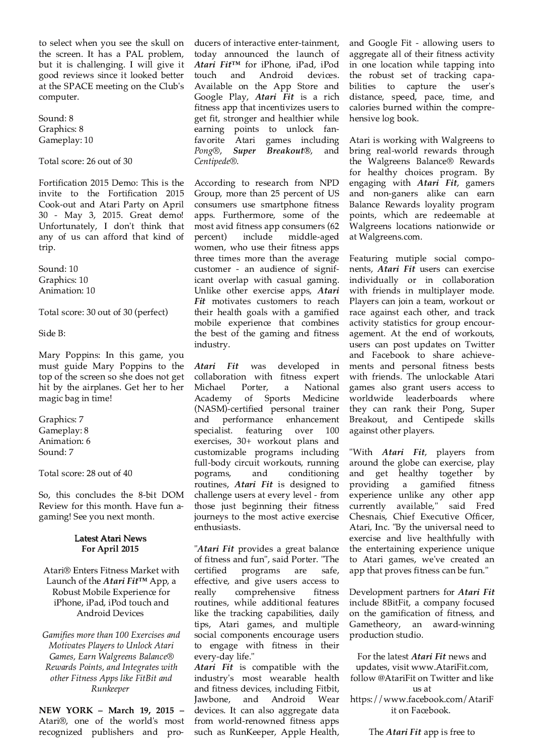to select when you see the skull on the screen. It has a PAL problem, but it is challenging. I will give it good reviews since it looked better at the SPACE meeting on the Club's computer.

Sound: 8 Graphics: 8 Gameplay: 10

Total score: 26 out of 30

Fortification 2015 Demo: This is the invite to the Fortification 2015 Cook-out and Atari Party on April 30 - May 3, 2015. Great demo! Unfortunately, I don't think that any of us can afford that kind of trip.

Sound: 10 Graphics: 10 Animation: 10

Total score: 30 out of 30 (perfect)

Side B:

Mary Poppins: In this game, you must guide Mary Poppins to the top of the screen so she does not get hit by the airplanes. Get her to her magic bag in time!

Graphics: 7 Gameplay: 8 Animation: 6 Sound: 7

Total score: 28 out of 40

So, this concludes the 8-bit DOM Review for this month. Have fun agaming! See you next month.

#### **Latest Atari News** For April 2015

Atari® Enters Fitness Market with Launch of the *Atari Fit*<sup>IM</sup> App, a Robust Mobile Experience for iPhone, iPad, iPod touch and **Android Devices** 

Gamifies more than 100 Exercises and Motivates Players to Unlock Atari Games, Earn Walgreens Balance® Rewards Points, and Integrates with other Fitness Apps like FitBit and Runkeeper

NEW YORK - March 19, 2015 -Atari®, one of the world's most recognized publishers and producers of interactive enter-tainment. today announced the launch of Atari Fit<sup>™</sup> for iPhone, iPad, iPod touch and Android devices. Available on the App Store and Google Play, Atari Fit is a rich fitness app that incentivizes users to get fit, stronger and healthier while earning points to unlock fanfavorite Atari games including Pong®, Super Breakout<sup>®</sup>, and Centipede<sup>®</sup>.

According to research from NPD Group, more than 25 percent of US consumers use smartphone fitness apps. Furthermore, some of the most avid fitness app consumers (62 include middle-aged percent) women, who use their fitness apps three times more than the average customer - an audience of significant overlap with casual gaming. Unlike other exercise apps, Atari Fit motivates customers to reach their health goals with a gamified mobile experience that combines the best of the gaming and fitness industry.

Atari Fit was developed in collaboration with fitness expert Michael Porter, National a Academy of Sports Medicine (NASM)-certified personal trainer and performance enhancement specialist. featuring over 100 exercises, 30+ workout plans and customizable programs including full-body circuit workouts, running pograms, and conditioning routines, Atari Fit is designed to challenge users at every level - from those just beginning their fitness journeys to the most active exercise enthusiasts.

"Atari Fit provides a great balance of fitness and fun", said Porter. "The certified programs are safe, effective, and give users access to really comprehensive fitness routines, while additional features like the tracking capabilities, daily tips, Atari games, and multiple social components encourage users to engage with fitness in their every-day life."

Atari Fit is compatible with the industry's most wearable health and fitness devices, including Fitbit, Jawbone, and Android Wear devices. It can also aggregate data from world-renowned fitness apps such as RunKeeper, Apple Health,

and Google Fit - allowing users to aggregate all of their fitness activity in one location while tapping into the robust set of tracking capabilities to capture the user's distance, speed, pace, time, and calories burned within the comprehensive log book.

Atari is working with Walgreens to bring real-world rewards through the Walgreens Balance® Rewards for healthy choices program. By engaging with Atari Fit, gamers and non-ganers alike can earn Balance Rewards loyality program points, which are redeemable at Walgreens locations nationwide or at Walgreens.com.

Featuring mutiple social components, Atari Fit users can exercise individually or in collaboration with friends in multiplayer mode. Players can join a team, workout or race against each other, and track activity statistics for group encouragement. At the end of workouts, users can post updates on Twitter and Facebook to share achievements and personal fitness bests with friends. The unlockable Atari games also grant users access to worldwide leaderboards where they can rank their Pong, Super Breakout, and Centipede skills against other players.

"With Atari Fit, players from around the globe can exercise, play and get healthy together by providing a gamified fitness experience unlike any other app currently available," said Fred Chesnais, Chief Executive Officer, Atari, Inc. "By the universal need to exercise and live healthfully with the entertaining experience unique to Atari games, we've created an app that proves fitness can be fun."

Development partners for Atari Fit include 8BitFit, a company focused on the gamification of fitness, and Gametheory, an award-winning production studio.

For the latest *Atari Fit* news and updates, visit www.AtariFit.com, follow @AtariFit on Twitter and like  $11S$ at https://www.facebook.com/AtariF it on Facebook.

The *Atari Fit* app is free to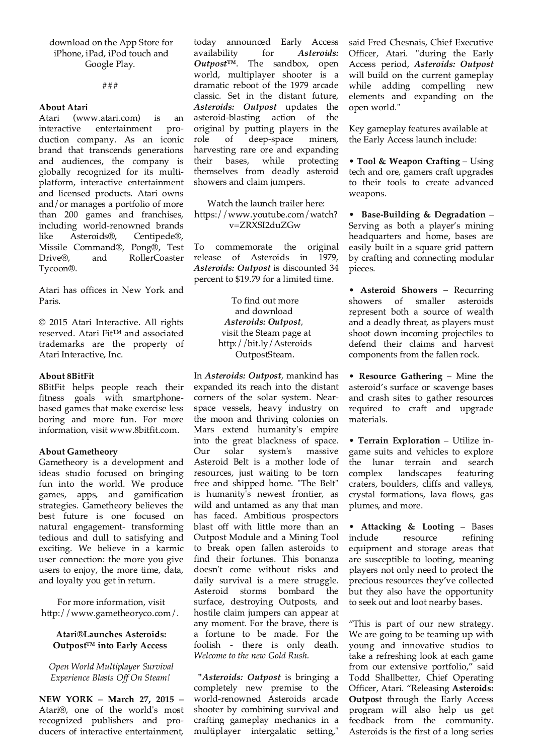download on the App Store for iPhone, iPad, iPod touch and Google Play.

#### ###

#### **About Atari**

Atari (www.atari.com) is an interactive entertainment production company. As an iconic brand that transcends generations and audiences, the company is globally recognized for its multiplatform, interactive entertainment and licensed products. Atari owns and/or manages a portfolio of more than 200 games and franchises, including world-renowned brands like Asteroids®, Centipede®, Missile Command®, Pong®, Test **RollerCoaster** Drive®, and Tycoon®.

Atari has offices in New York and Paris.

© 2015 Atari Interactive. All rights reserved. Atari Fit™ and associated trademarks are the property of Atari Interactive, Inc.

#### **About 8BitFit**

8BitFit helps people reach their fitness goals with smartphonebased games that make exercise less boring and more fun. For more information, visit www.8bitfit.com.

#### **About Gametheory**

Gametheory is a development and ideas studio focused on bringing fun into the world. We produce games, apps, and gamification strategies. Gametheory believes the best future is one focused on natural engagement- transforming tedious and dull to satisfying and exciting. We believe in a karmic user connection: the more you give users to enjoy, the more time, data, and loyalty you get in return.

For more information, visit http://www.gametheoryco.com/.

#### Atari®Launches Asteroids: Outpost<sup>™</sup> into Early Access

Open World Multiplayer Survival Experience Blasts Off On Steam!

NEW YORK - March 27, 2015 -Atari®, one of the world's most recognized publishers and producers of interactive entertainment,

today announced Early Access availability for Asteroids:  $Outpost^{TM}$ . The sandbox, open world, multiplayer shooter is a dramatic reboot of the 1979 arcade classic. Set in the distant future, Asteroids: Outpost updates the asteroid-blasting action of the original by putting players in the deep-space role of miners, harvesting rare ore and expanding their bases, while protecting themselves from deadly asteroid showers and claim jumpers.

Watch the launch trailer here: https://www.youtube.com/watch? v=ZRXSI2duZGw

To commemorate the original release of Asteroids in 1979, Asteroids: Outpost is discounted 34 percent to \$19.79 for a limited time.

> To find out more and download Asteroids: Outpost, visit the Steam page at http://bit.ly/Asteroids OutpostSteam.

In Asteroids: Outpost, mankind has expanded its reach into the distant corners of the solar system. Nearspace vessels, heavy industry on the moon and thriving colonies on Mars extend humanity's empire into the great blackness of space. system's massive solar Our Asteroid Belt is a mother lode of resources, just waiting to be torn free and shipped home. "The Belt" is humanity's newest frontier, as wild and untamed as any that man has faced. Ambitious prospectors blast off with little more than an Outpost Module and a Mining Tool to break open fallen asteroids to find their fortunes. This bonanza doesn't come without risks and daily survival is a mere struggle. Asteroid storms bombard the surface, destroying Outposts, and hostile claim jumpers can appear at any moment. For the brave, there is a fortune to be made. For the foolish - there is only death. Welcome to the new Gold Rush.

"Asteroids: Outpost is bringing a completely new premise to the world-renowned Asteroids arcade shooter by combining survival and crafting gameplay mechanics in a multiplayer intergalatic setting,"

said Fred Chesnais, Chief Executive Officer, Atari. "during the Early Access period, Asteroids: Outpost will build on the current gameplay while adding compelling new elements and expanding on the open world."

Key gameplay features available at the Early Access launch include:

• Tool & Weapon Crafting - Using tech and ore, gamers craft upgrades to their tools to create advanced weapons.

• Base-Building & Degradation -Serving as both a player's mining headquarters and home, bases are easily built in a square grid pattern by crafting and connecting modular pieces.

• Asteroid Showers - Recurring showers of smaller asteroids represent both a source of wealth and a deadly threat, as players must shoot down incoming projectiles to defend their claims and harvest components from the fallen rock.

• Resource Gathering - Mine the asteroid's surface or scavenge bases and crash sites to gather resources required to craft and upgrade materials.

• Terrain Exploration - Utilize ingame suits and vehicles to explore the lunar terrain and search complex landscapes featuring craters, boulders, cliffs and valleys, crystal formations, lava flows, gas plumes, and more.

• Attacking & Looting - Bases refining include resource equipment and storage areas that are susceptible to looting, meaning players not only need to protect the precious resources they've collected but they also have the opportunity to seek out and loot nearby bases.

"This is part of our new strategy. We are going to be teaming up with young and innovative studios to take a refreshing look at each game from our extensive portfolio," said Todd Shallbetter, Chief Operating Officer, Atari. "Releasing Asteroids: Outpost through the Early Access program will also help us get feedback from the community. Asteroids is the first of a long series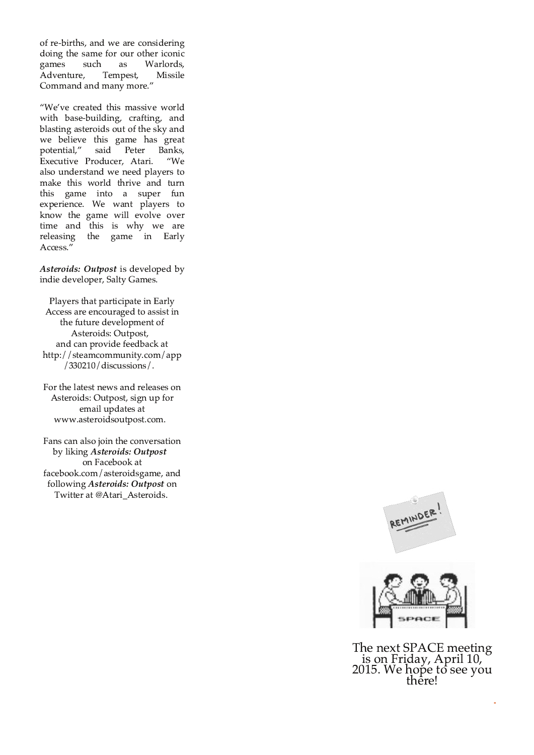of re-births, and we are considering doing the same for our other iconic games such Warlords, as Adventure, Tempest, Missile Command and many more."

"We've created this massive world with base-building, crafting, and blasting asteroids out of the sky and we believe this game has great potential," said Peter Banks, Executive Producer, Atari.  $W<sup>o</sup>$ also understand we need players to make this world thrive and turn this game into a super fun experience. We want players to know the game will evolve over time and this is why we are releasing the game in Early Access."

Asteroids: Outpost is developed by indie developer, Salty Games.

Players that participate in Early Access are encouraged to assist in the future development of Asteroids: Outpost, and can provide feedback at http://steamcommunity.com/app  $/330210/discussions/$ .

For the latest news and releases on Asteroids: Outpost, sign up for email updates at www.asteroidsoutpost.com.

Fans can also join the conversation by liking Asteroids: Outpost on Facebook at facebook.com/asteroidsgame, and following Asteroids: Outpost on Twitter at @Atari\_Asteroids.





The next SPACE meeting<br>is on Friday, April 10,<br>2015. We hope to see you<br>there!